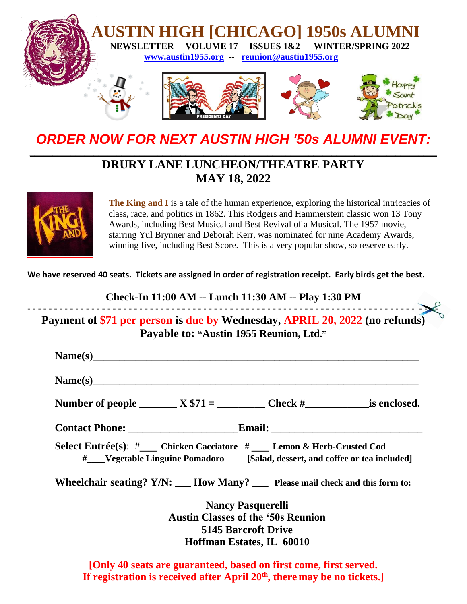

*ORDER NOW FOR NEXT AUSTIN HIGH '50s ALUMNI EVENT:* **\_\_\_\_\_\_\_\_\_\_\_\_\_\_\_\_\_\_\_\_\_\_\_\_\_\_\_\_\_\_\_\_\_\_\_\_\_\_\_\_\_\_\_\_\_\_\_\_\_\_\_\_\_\_\_\_\_\_\_\_\_\_\_\_\_\_\_\_\_\_\_\_\_\_\_\_\_\_\_\_\_\_\_\_\_\_\_\_\_**

# **DRURY LANE LUNCHEON/THEATRE PARTY MAY 18, 2022**



**The King and I** is a tale of the human experience, exploring the historical intricacies of class, race, and politics in 1862. This Rodgers and Hammerstein classic won 13 Tony Awards, including Best Musical and Best Revival of a Musical. The 1957 movie, starring Yul Brynner and Deborah Kerr, was nominated for nine Academy Awards, winning five, including Best Score. This is a very popular show, so reserve early.

**We have reserved 40 seats. Tickets are assigned in order of registration receipt. Early birds get the best.** 

**Check-In 11:00 AM -- Lunch 11:30 AM -- Play 1:30 PM** - - - - - - - - - - - - - - - - - - - - - - - - - - - - - - - - - - - - - - - - - - - - - - - - - - - - - - - - - - - - - - - - - - - - - - - - - - - - -

**Payment of \$71 per person is due by Wednesday, APRIL 20, 2022 (no refunds) Payable to: "Austin 1955 Reunion, Ltd."**

| Name(s)                                                                                                                                                |  |  |  |  |  |  |  |  |
|--------------------------------------------------------------------------------------------------------------------------------------------------------|--|--|--|--|--|--|--|--|
| Number of people $X $71 =$ Check $\#$ is enclosed.                                                                                                     |  |  |  |  |  |  |  |  |
|                                                                                                                                                        |  |  |  |  |  |  |  |  |
| Select Entrée(s): #___ Chicken Cacciatore # ___ Lemon & Herb-Crusted Cod<br># Vegetable Linguine Pomadoro [Salad, dessert, and coffee or tea included] |  |  |  |  |  |  |  |  |
| Wheelchair seating? $Y/N$ : $\underline{\hspace{1cm}}$ How Many? $\underline{\hspace{1cm}}$ Please mail check and this form to:                        |  |  |  |  |  |  |  |  |
| <b>Nancy Pasquerelli</b>                                                                                                                               |  |  |  |  |  |  |  |  |
| <b>Austin Classes of the '50s Reunion</b>                                                                                                              |  |  |  |  |  |  |  |  |
| 5145 Barcroft Drive                                                                                                                                    |  |  |  |  |  |  |  |  |
| Hoffman Estates, IL 60010                                                                                                                              |  |  |  |  |  |  |  |  |

**[Only 40 seats are guaranteed, based on first come, first served.**  If registration is received after April 20<sup>th</sup>, there may be no tickets.]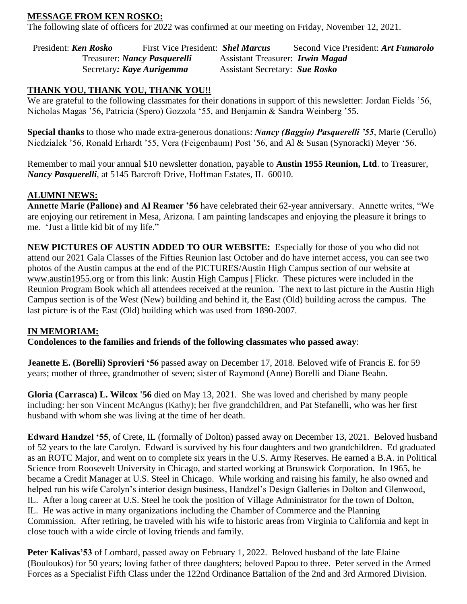#### **MESSAGE FROM KEN ROSKO:**

The following slate of officers for 2022 was confirmed at our meeting on Friday, November 12, 2021.

President: *Ken Rosko* First Vice President: *Shel Marcus* Second Vice President: *Art Fumarolo* Treasurer: *Nancy Pasquerelli* Assistant Treasurer: *Irwin Magad* Secretary*: Kaye Aurigemma* Assistant Secretary: *Sue Rosko*

#### **THANK YOU, THANK YOU, THANK YOU!!**

We are grateful to the following classmates for their donations in support of this newsletter: Jordan Fields '56, Nicholas Magas '56, Patricia (Spero) Gozzola '55, and Benjamin & Sandra Weinberg '55.

**Special thanks** to those who made extra-generous donations: *Nancy (Baggio) Pasquerelli '55*, Marie (Cerullo) Niedzialek '56, Ronald Erhardt '55, Vera (Feigenbaum) Post '56, and Al & Susan (Synoracki) Meyer '56.

Remember to mail your annual \$10 newsletter donation, payable to **Austin 1955 Reunion, Ltd**. to Treasurer, *Nancy Pasquerelli*, at 5145 Barcroft Drive, Hoffman Estates, IL 60010.

#### **ALUMNI NEWS:**

**Annette Marie (Pallone) and Al Reamer '56** have celebrated their 62-year anniversary. Annette writes, "We are enjoying our retirement in Mesa, Arizona. I am painting landscapes and enjoying the pleasure it brings to me. 'Just a little kid bit of my life."

**NEW PICTURES OF AUSTIN ADDED TO OUR WEBSITE:** Especially for those of you who did not attend our 2021 Gala Classes of the Fifties Reunion last October and do have internet access, you can see two photos of the Austin campus at the end of the PICTURES/Austin High Campus section of our website at [www.austin1955.org](http://www.austin1955.org/) or from this link: [Austin High Campus | Flickr.](https://www.flickr.com/photos/austin1955/albums/72157632778349298) These pictures were included in the Reunion Program Book which all attendees received at the reunion. The next to last picture in the Austin High Campus section is of the West (New) building and behind it, the East (Old) building across the campus. The last picture is of the East (Old) building which was used from 1890-2007.

#### **IN MEMORIAM:**

**Condolences to the families and friends of the following classmates who passed away**:

**Jeanette E. (Borelli) Sprovieri '56** passed away on December 17, 2018. Beloved wife of Francis E. for 59 years; mother of three, grandmother of seven; sister of Raymond (Anne) Borelli and Diane Beahn.

**Gloria (Carrasca) L. Wilcox '56** died on May 13, 2021. She was loved and cherished by many people including: her son Vincent McAngus (Kathy); her five grandchildren, and Pat Stefanelli, who was her first husband with whom she was living at the time of her death.

**Edward Handzel '55**, of Crete, IL (formally of Dolton) passed away on December 13, 2021. Beloved husband of 52 years to the late Carolyn. Edward is survived by his four daughters and two grandchildren. Ed graduated as an ROTC Major, and went on to complete six years in the U.S. Army Reserves. He earned a B.A. in Political Science from Roosevelt University in Chicago, and started working at Brunswick Corporation. In 1965, he became a Credit Manager at U.S. Steel in Chicago. While working and raising his family, he also owned and helped run his wife Carolyn's interior design business, Handzel's Design Galleries in Dolton and Glenwood, IL. After a long career at U.S. Steel he took the position of Village Administrator for the town of Dolton, IL. He was active in many organizations including the Chamber of Commerce and the Planning Commission. After retiring, he traveled with his wife to historic areas from Virginia to California and kept in close touch with a wide circle of loving friends and family.

**Peter Kalivas'53** of Lombard, passed away on February 1, 2022. Beloved husband of the late Elaine (Bouloukos) for 50 years; loving father of three daughters; beloved Papou to three. Peter served in the Armed Forces as a Specialist Fifth Class under the 122nd Ordinance Battalion of the 2nd and 3rd Armored Division.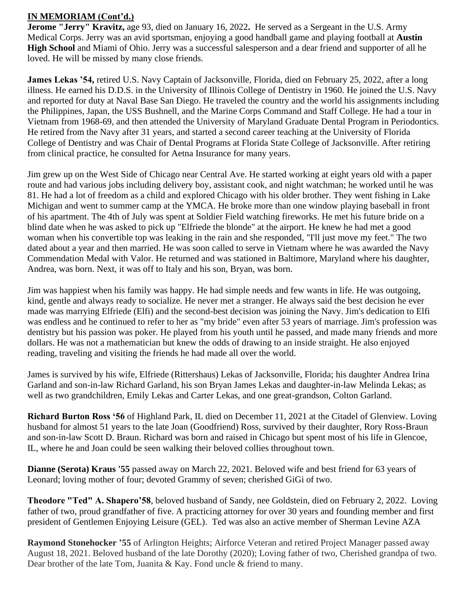#### **IN MEMORIAM (Cont'd.)**

**Jerome "Jerry" Kravitz,** age 93, died on January 16, 2022**.** He served as a Sergeant in the U.S. Army Medical Corps. Jerry was an avid sportsman, enjoying a good handball game and playing football at **Austin High School** and Miami of Ohio. Jerry was a successful salesperson and a dear friend and supporter of all he loved. He will be missed by many close friends.

**James Lekas '54,** retired U.S. Navy Captain of Jacksonville, Florida, died on February 25, 2022, after a long illness. He earned his D.D.S. in the University of Illinois College of Dentistry in 1960. He joined the U.S. Navy and reported for duty at Naval Base San Diego. He traveled the country and the world his assignments including the Philippines, Japan, the USS Bushnell, and the Marine Corps Command and Staff College. He had a tour in Vietnam from 1968-69, and then attended the University of Maryland Graduate Dental Program in Periodontics. He retired from the Navy after 31 years, and started a second career teaching at the University of Florida College of Dentistry and was Chair of Dental Programs at Florida State College of Jacksonville. After retiring from clinical practice, he consulted for Aetna Insurance for many years.

Jim grew up on the West Side of Chicago near Central Ave. He started working at eight years old with a paper route and had various jobs including delivery boy, assistant cook, and night watchman; he worked until he was 81. He had a lot of freedom as a child and explored Chicago with his older brother. They went fishing in Lake Michigan and went to summer camp at the YMCA. He broke more than one window playing baseball in front of his apartment. The 4th of July was spent at Soldier Field watching fireworks. He met his future bride on a blind date when he was asked to pick up "Elfriede the blonde" at the airport. He knew he had met a good woman when his convertible top was leaking in the rain and she responded, "I'll just move my feet." The two dated about a year and then married. He was soon called to serve in Vietnam where he was awarded the Navy Commendation Medal with Valor. He returned and was stationed in Baltimore, Maryland where his daughter, Andrea, was born. Next, it was off to Italy and his son, Bryan, was born.

Jim was happiest when his family was happy. He had simple needs and few wants in life. He was outgoing, kind, gentle and always ready to socialize. He never met a stranger. He always said the best decision he ever made was marrying Elfriede (Elfi) and the second-best decision was joining the Navy. Jim's dedication to Elfi was endless and he continued to refer to her as "my bride" even after 53 years of marriage. Jim's profession was dentistry but his passion was poker. He played from his youth until he passed, and made many friends and more dollars. He was not a mathematician but knew the odds of drawing to an inside straight. He also enjoyed reading, traveling and visiting the friends he had made all over the world.

James is survived by his wife, Elfriede (Rittershaus) Lekas of Jacksonville, Florida; his daughter Andrea Irina Garland and son-in-law Richard Garland, his son Bryan James Lekas and daughter-in-law Melinda Lekas; as well as two grandchildren, Emily Lekas and Carter Lekas, and one great-grandson, Colton Garland.

**Richard Burton Ross '56** of Highland Park, IL died on December 11, 2021 at the Citadel of Glenview. Loving husband for almost 51 years to the late Joan (Goodfriend) Ross, survived by their daughter, Rory Ross-Braun and son-in-law Scott D. Braun. Richard was born and raised in Chicago but spent most of his life in Glencoe, IL, where he and Joan could be seen walking their beloved collies throughout town.

**Dianne (Serota) Kraus '55** passed away on March 22, 2021. Beloved wife and best friend for 63 years of Leonard; loving mother of four; devoted Grammy of seven; cherished GiGi of two.

**Theodore "Ted" A. Shapero'58**, beloved husband of Sandy, nee Goldstein, died on February 2, 2022. Loving father of two, proud grandfather of five. A practicing attorney for over 30 years and founding member and first president of Gentlemen Enjoying Leisure (GEL). Ted was also an active member of Sherman Levine AZA

**Raymond Stonehocker '55** of Arlington Heights; Airforce Veteran and retired Project Manager passed away August 18, 2021. Beloved husband of the late Dorothy (2020); Loving father of two, Cherished grandpa of two. Dear brother of the late Tom, Juanita & Kay. Fond uncle & friend to many.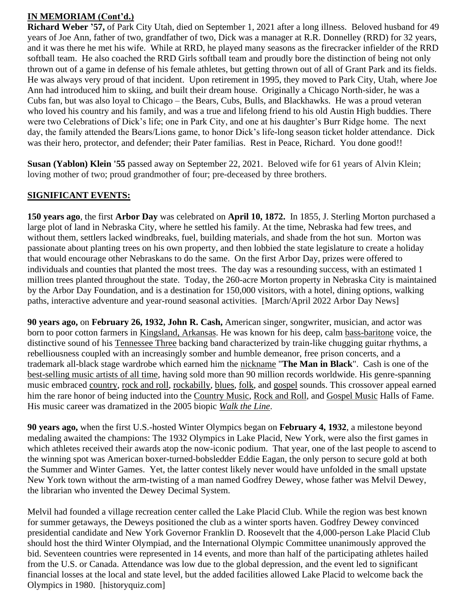# **IN MEMORIAM (Cont'd.)**

**Richard Weber '57,** of Park City Utah, died on September 1, 2021 after a long illness. Beloved husband for 49 years of Joe Ann, father of two, grandfather of two, Dick was a manager at R.R. Donnelley (RRD) for 32 years, and it was there he met his wife. While at RRD, he played many seasons as the firecracker infielder of the RRD softball team. He also coached the RRD Girls softball team and proudly bore the distinction of being not only thrown out of a game in defense of his female athletes, but getting thrown out of all of Grant Park and its fields. He was always very proud of that incident. Upon retirement in 1995, they moved to Park City, Utah, where Joe Ann had introduced him to skiing, and built their dream house. Originally a Chicago North-sider, he was a Cubs fan, but was also loyal to Chicago – the Bears, Cubs, Bulls, and Blackhawks. He was a proud veteran who loved his country and his family, and was a true and lifelong friend to his old Austin High buddies. There were two Celebrations of Dick's life; one in Park City, and one at his daughter's Burr Ridge home. The next day, the family attended the Bears/Lions game, to honor Dick's life-long season ticket holder attendance. Dick was their hero, protector, and defender; their Pater familias. Rest in Peace, Richard. You done good!!

**Susan (Yablon) Klein '55** passed away on September 22, 2021. Beloved wife for 61 years of Alvin Klein; loving mother of two; proud grandmother of four; pre-deceased by three brothers.

#### **SIGNIFICANT EVENTS:**

**150 years ago**, the first **Arbor Day** was celebrated on **April 10, 1872.** In 1855, J. Sterling Morton purchased a large plot of land in Nebraska City, where he settled his family. At the time, Nebraska had few trees, and without them, settlers lacked windbreaks, fuel, building materials, and shade from the hot sun. Morton was passionate about planting trees on his own property, and then lobbied the state legislature to create a holiday that would encourage other Nebraskans to do the same. On the first Arbor Day, prizes were offered to individuals and counties that planted the most trees. The day was a resounding success, with an estimated 1 million trees planted throughout the state. Today, the 260-acre Morton property in Nebraska City is maintained by the Arbor Day Foundation, and is a destination for 150,000 visitors, with a hotel, dining options, walking paths, interactive adventure and year-round seasonal activities. [March/April 2022 Arbor Day News]

**90 years ago,** on **February 26, 1932, John R. Cash,** American singer, songwriter, musician, and actor was born to poor cotton farmers in [Kingsland, Arkansas.](https://en.wikipedia.org/wiki/Kingsland,_Arkansas) He was known for his deep, calm [bass-baritone](https://en.wikipedia.org/wiki/Bass-baritone) voice, the distinctive sound of his [Tennessee Three](https://en.wikipedia.org/wiki/The_Tennessee_Three) backing band characterized by train-like chugging guitar rhythms, a rebelliousness coupled with an increasingly somber and humble demeanor, free prison concerts, and a trademark all-black stage wardrobe which earned him the [nickname](https://en.wikipedia.org/wiki/Honorific_nicknames_in_popular_music) "**The Man in Black**". Cash is one of the [best-selling music artists of all time,](https://en.wikipedia.org/wiki/List_of_best-selling_music_artists) having sold more than 90 million records worldwide. His genre-spanning music embraced [country,](https://en.wikipedia.org/wiki/Country_music) [rock and roll,](https://en.wikipedia.org/wiki/Rock_and_roll) [rockabilly,](https://en.wikipedia.org/wiki/Rockabilly) [blues,](https://en.wikipedia.org/wiki/Blues) [folk,](https://en.wikipedia.org/wiki/Folk_music) and [gospel](https://en.wikipedia.org/wiki/Gospel_music) sounds. This crossover appeal earned him the rare honor of being inducted into the [Country Music,](https://en.wikipedia.org/wiki/Country_Music_Hall_of_Fame) [Rock and Roll,](https://en.wikipedia.org/wiki/Rock_and_Roll_Hall_of_Fame) and [Gospel Music](https://en.wikipedia.org/wiki/Gospel_Music_Hall_of_Fame) Halls of Fame. His music career was dramatized in the 2005 biopic *[Walk the Line](https://en.wikipedia.org/wiki/Walk_the_Line)*.

**90 years ago,** when the first U.S.-hosted Winter Olympics began on **February 4, 1932**, a milestone beyond medaling awaited the champions: The 1932 Olympics in Lake Placid, New York, were also the first games in which athletes received their awards atop the now-iconic podium. That year, one of the last people to ascend to the winning spot was American boxer-turned-bobsledder Eddie Eagan, the only person to secure gold at both the Summer and Winter Games. Yet, the latter contest likely never would have unfolded in the small upstate New York town without the arm-twisting of a man named Godfrey Dewey, whose father was Melvil Dewey, the librarian who invented the Dewey Decimal System.

Melvil had founded a village recreation center called the Lake Placid Club. While the region was best known for summer getaways, the Deweys positioned the club as a winter sports haven. Godfrey Dewey convinced presidential candidate and New York Governor Franklin D. Roosevelt that the 4,000-person Lake Placid Club should host the third Winter Olympiad, and the International Olympic Committee unanimously approved the bid. Seventeen countries were represented in 14 events, and more than half of the participating athletes hailed from the U.S. or Canada. Attendance was low due to the global depression, and the event led to significant financial losses at the local and state level, but the added facilities allowed Lake Placid to welcome back the Olympics in 1980. [historyquiz.com]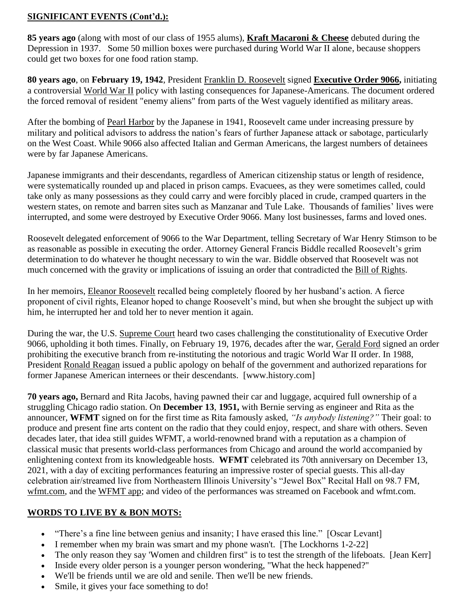## **SIGNIFICANT EVENTS (Cont'd.):**

**85 years ago** (along with most of our class of 1955 alums), **Kraft Macaroni & Cheese** debuted during the Depression in 1937. Some 50 million boxes were purchased during World War II alone, because shoppers could get two boxes for one food ration stamp.

**80 years ago**, on **February 19, 1942**, President [Franklin D. Roosevelt](https://www.history.com/topics/us-presidents/franklin-d-roosevelt) signed **[Executive Order](https://www.history.com/topics/executive-order) 9066,** initiating a controversial [World War II](https://www.history.com/topics/world-war-ii) policy with lasting consequences for Japanese-Americans. The document ordered the forced removal of resident "enemy aliens" from parts of the West vaguely identified as military areas.

After the bombing of [Pearl Harbor](https://www.history.com/topics/world-war-ii/pearl-harbor) by the Japanese in 1941, Roosevelt came under increasing pressure by military and political advisors to address the nation's fears of further Japanese attack or sabotage, particularly on the West Coast. While 9066 also affected Italian and German Americans, the largest numbers of detainees were by far Japanese Americans.

Japanese immigrants and their descendants, regardless of American citizenship status or length of residence, were systematically rounded up and placed in prison camps. Evacuees, as they were sometimes called, could take only as many possessions as they could carry and were forcibly placed in crude, cramped quarters in the western states, on remote and barren sites such as Manzanar and Tule Lake. Thousands of families' lives were interrupted, and some were destroyed by Executive Order 9066. Many lost businesses, farms and loved ones.

Roosevelt delegated enforcement of 9066 to the War Department, telling Secretary of War Henry Stimson to be as reasonable as possible in executing the order. Attorney General Francis Biddle recalled Roosevelt's grim determination to do whatever he thought necessary to win the war. Biddle observed that Roosevelt was not much concerned with the gravity or implications of issuing an order that contradicted the [Bill of Rights.](https://www.history.com/topics/bill-of-rights)

In her memoirs, [Eleanor Roosevelt](https://www.history.com/topics/first-ladies/eleanor-roosevelt) recalled being completely floored by her husband's action. A fierce proponent of civil rights, Eleanor hoped to change Roosevelt's mind, but when she brought the subject up with him, he interrupted her and told her to never mention it again.

During the war, the U.S. [Supreme Court](https://www.history.com/topics/supreme-court-facts) heard two cases challenging the constitutionality of Executive Order 9066, upholding it both times. Finally, on February 19, 1976, decades after the war, [Gerald Ford](https://www.history.com/topics/us-presidents/gerald-r-ford) signed an order prohibiting the executive branch from re-instituting the notorious and tragic World War II order. In 1988, President [Ronald Reagan](https://www.history.com/topics/us-presidents/ronald-reagan) issued a public apology on behalf of the government and authorized reparations for former Japanese American internees or their descendants. [www.history.com]

**70 years ago,** Bernard and Rita Jacobs, having pawned their car and luggage, acquired full ownership of a struggling Chicago radio station. On **December 13**, **1951,** with Bernie serving as engineer and Rita as the announcer, **WFMT** signed on for the first time as Rita famously asked, *"Is anybody listening?"* Their goal: to produce and present fine arts content on the radio that they could enjoy, respect, and share with others. Seven decades later, that idea still guides WFMT, a world-renowned brand with a reputation as a champion of classical music that presents world-class performances from Chicago and around the world accompanied by enlightening context from its knowledgeable hosts. **WFMT** celebrated its 70th anniversary on December 13, 2021, with a day of exciting performances featuring an impressive roster of special guests. This all-day celebration air/streamed live from Northeastern Illinois University's "Jewel Box" Recital Hall on 98.7 FM, [wfmt.com,](https://www.wfmt.com/) and the [WFMT app;](https://www.wfmt.com/app) and video of the performances was streamed on Facebook and wfmt.com.

# **WORDS TO LIVE BY & BON MOTS:**

- "There's a fine line between genius and insanity; I have erased this line." [Oscar Levant]
- I remember when my brain was smart and my phone wasn't. [The Lockhorns 1-2-22]
- The only reason they say 'Women and children first" is to test the strength of the lifeboats. [Jean Kerr]
- Inside every older person is a younger person wondering, "What the heck happened?"
- We'll be friends until we are old and senile. Then we'll be new friends.
- Smile, it gives your face something to do!